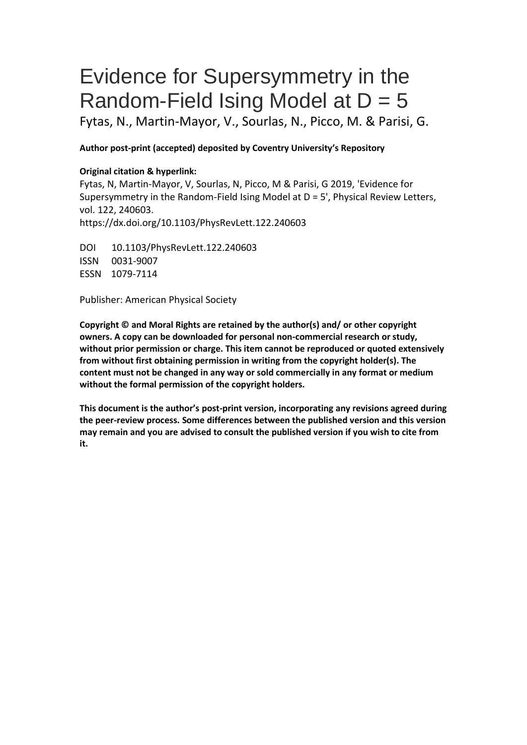# Evidence for Supersymmetry in the Random-Field Ising Model at  $D = 5$

Fytas, N., Martin-Mayor, V., Sourlas, N., Picco, M. & Parisi, G.

# **Author post-print (accepted) deposited by Coventry University's Repository**

## **Original citation & hyperlink:**

Fytas, N, Martin-Mayor, V, Sourlas, N, Picco, M & Parisi, G 2019, 'Evidence for Supersymmetry in the Random-Field Ising Model at D = 5', Physical Review Letters, vol. 122, 240603.

https://dx.doi.org/10.1103/PhysRevLett.122.240603

DOI 10.1103/PhysRevLett.122.240603 ISSN 0031-9007 ESSN 1079-7114

Publisher: American Physical Society

**Copyright © and Moral Rights are retained by the author(s) and/ or other copyright owners. A copy can be downloaded for personal non-commercial research or study, without prior permission or charge. This item cannot be reproduced or quoted extensively from without first obtaining permission in writing from the copyright holder(s). The content must not be changed in any way or sold commercially in any format or medium without the formal permission of the copyright holders.** 

**This document is the author's post-print version, incorporating any revisions agreed during the peer-review process. Some differences between the published version and this version may remain and you are advised to consult the published version if you wish to cite from it.**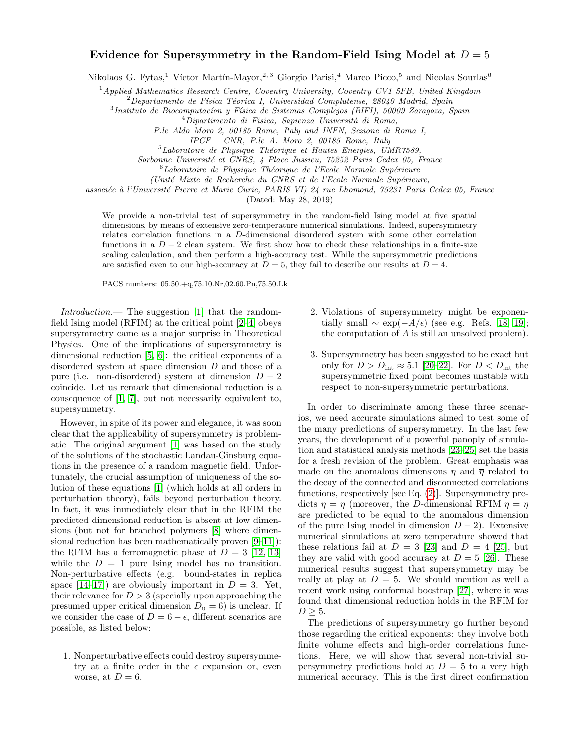## Evidence for Supersymmetry in the Random-Field Ising Model at  $D = 5$

Nikolaos G. Fytas,<sup>1</sup> Víctor Martín-Mayor,<sup>2, 3</sup> Giorgio Parisi,<sup>4</sup> Marco Picco,<sup>5</sup> and Nicolas Sourlas<sup>6</sup>

 $1$ Applied Mathematics Research Centre, Coventry University, Coventry CV1 5FB, United Kingdom

 $2$ Departamento de Física Téorica I, Universidad Complutense, 28040 Madrid, Spain

<sup>3</sup>Instituto de Biocomputacíon y Física de Sistemas Complejos (BIFI), 50009 Zaragoza, Spain

 $^{4}$ Dipartimento di Fisica, Sapienza Università di Roma,

P.le Aldo Moro 2, 00185 Rome, Italy and INFN, Sezione di Roma I,

IPCF – CNR, P.le A. Moro 2, 00185 Rome, Italy

 $5$ Laboratoire de Physique Théorique et Hautes Energies, UMR7589,

Sorbonne Université et CNRS, 4 Place Jussieu, 75252 Paris Cedex 05, France

 ${}^{6}$ Laboratoire de Physique Théorique de l'Ecole Normale Supérieure

(Unité Mixte de Recherche du CNRS et de l'Ecole Normale Supérieure,

associée à l'Université Pierre et Marie Curie, PARIS VI) 24 rue Lhomond, 75231 Paris Cedex 05, France

(Dated: May 28, 2019)

We provide a non-trivial test of supersymmetry in the random-field Ising model at five spatial dimensions, by means of extensive zero-temperature numerical simulations. Indeed, supersymmetry relates correlation functions in a D-dimensional disordered system with some other correlation functions in a  $D-2$  clean system. We first show how to check these relationships in a finite-size scaling calculation, and then perform a high-accuracy test. While the supersymmetric predictions are satisfied even to our high-accuracy at  $D = 5$ , they fail to describe our results at  $D = 4$ .

PACS numbers: 05.50.+q,75.10.Nr,02.60.Pn,75.50.Lk

Introduction.— The suggestion [\[1\]](#page-7-0) that the randomfield Ising model (RFIM) at the critical point [\[2–](#page-7-1)[4\]](#page-7-2) obeys supersymmetry came as a major surprise in Theoretical Physics. One of the implications of supersymmetry is dimensional reduction [\[5,](#page-7-3) [6\]](#page-7-4): the critical exponents of a disordered system at space dimension D and those of a pure (i.e. non-disordered) system at dimension  $D-2$ coincide. Let us remark that dimensional reduction is a consequence of [\[1,](#page-7-0) [7\]](#page-7-5), but not necessarily equivalent to, supersymmetry.

However, in spite of its power and elegance, it was soon clear that the applicability of supersymmetry is problematic. The original argument [\[1\]](#page-7-0) was based on the study of the solutions of the stochastic Landau-Ginsburg equations in the presence of a random magnetic field. Unfortunately, the crucial assumption of uniqueness of the solution of these equations [\[1\]](#page-7-0) (which holds at all orders in perturbation theory), fails beyond perturbation theory. In fact, it was immediately clear that in the RFIM the predicted dimensional reduction is absent at low dimensions (but not for branched polymers [\[8\]](#page-7-6) where dimensional reduction has been mathematically proven [\[9–](#page-7-7)[11\]](#page-7-8)): the RFIM has a ferromagnetic phase at  $D = 3$  [\[12,](#page-7-9) [13\]](#page-7-10) while the  $D = 1$  pure Ising model has no transition. Non-perturbative effects (e.g. bound-states in replica space  $[14-17]$  $[14-17]$  are obviously important in  $D = 3$ . Yet, their relevance for  $D > 3$  (specially upon approaching the presumed upper critical dimension  $D_u = 6$ ) is unclear. If we consider the case of  $D = 6 - \epsilon$ , different scenarios are possible, as listed below:

1. Nonperturbative effects could destroy supersymmetry at a finite order in the  $\epsilon$  expansion or, even worse, at  $D=6$ .

- 2. Violations of supersymmetry might be exponentially small  $\sim \exp(-A/\epsilon)$  (see e.g. Refs. [\[18,](#page-7-13) [19\]](#page-7-14); the computation of A is still an unsolved problem).
- 3. Supersymmetry has been suggested to be exact but only for  $D > D_{\text{int}} \approx 5.1$  [\[20–](#page-7-15)[22\]](#page-7-16). For  $D < D_{\text{int}}$  the supersymmetric fixed point becomes unstable with respect to non-supersymmetric perturbations.

In order to discriminate among these three scenarios, we need accurate simulations aimed to test some of the many predictions of supersymmetry. In the last few years, the development of a powerful panoply of simulation and statistical analysis methods [\[23](#page-7-17)[–25\]](#page-7-18) set the basis for a fresh revision of the problem. Great emphasis was made on the anomalous dimensions  $\eta$  and  $\overline{\eta}$  related to the decay of the connected and disconnected correlations functions, respectively [see Eq. [\(2\)](#page-2-0)]. Supersymmetry predicts  $\eta = \overline{\eta}$  (moreover, the *D*-dimensional RFIM  $\eta = \overline{\eta}$ ) are predicted to be equal to the anomalous dimension of the pure Ising model in dimension  $D-2$ ). Extensive numerical simulations at zero temperature showed that these relations fail at  $D = 3$  [\[23\]](#page-7-17) and  $D = 4$  [\[25\]](#page-7-18), but they are valid with good accuracy at  $D = 5$  [\[26\]](#page-7-19). These numerical results suggest that supersymmetry may be really at play at  $D = 5$ . We should mention as well a recent work using conformal boostrap [\[27\]](#page-7-20), where it was found that dimensional reduction holds in the RFIM for  $D \geq 5$ .

The predictions of supersymmetry go further beyond those regarding the critical exponents: they involve both finite volume effects and high-order correlations functions. Here, we will show that several non-trivial supersymmetry predictions hold at  $D = 5$  to a very high numerical accuracy. This is the first direct confirmation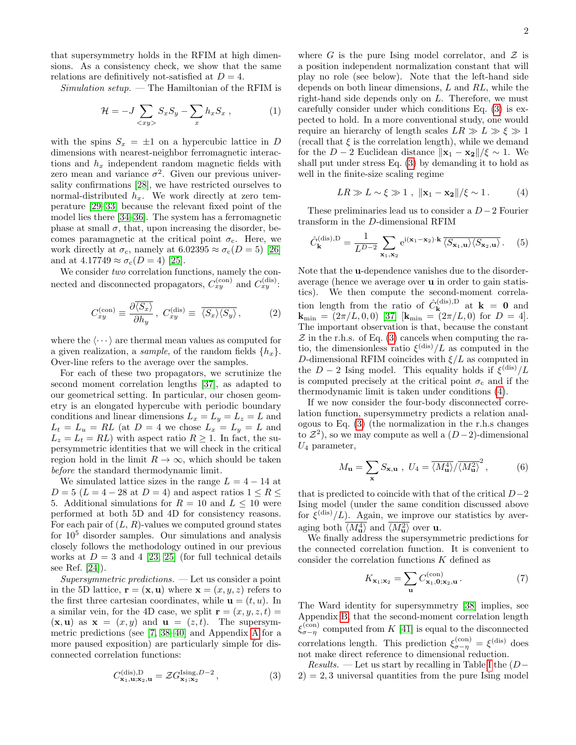that supersymmetry holds in the RFIM at high dimensions. As a consistency check, we show that the same relations are definitively not-satisfied at  $D = 4$ .

 $Simulation\ setup.$  — The Hamiltonian of the RFIM is

$$
\mathcal{H} = -J \sum_{\langle xy \rangle} S_x S_y - \sum_x h_x S_x , \qquad (1)
$$

with the spins  $S_x = \pm 1$  on a hypercubic lattice in D dimensions with nearest-neighbor ferromagnetic interactions and  $h_x$  independent random magnetic fields with zero mean and variance  $\sigma^2$ . Given our previous universality confirmations [\[28\]](#page-7-21), we have restricted ourselves to normal-distributed  $h_x$ . We work directly at zero temperature [\[29](#page-7-22)[–33\]](#page-7-23) because the relevant fixed point of the model lies there [\[34](#page-7-24)[–36\]](#page-7-25). The system has a ferromagnetic phase at small  $\sigma$ , that, upon increasing the disorder, becomes paramagnetic at the critical point  $\sigma_c$ . Here, we work directly at  $\sigma_c$ , namely at  $6.02395 \approx \sigma_c(D=5)$  [\[26\]](#page-7-19) and at  $4.17749 \approx \sigma_c(D=4)$  [\[25\]](#page-7-18).

We consider two correlation functions, namely the connected and disconnected propagators,  $C_{xy}^{(\text{con})}$  and  $C_{xy}^{(\text{dis})}$ :

<span id="page-2-0"></span>
$$
C_{xy}^{(\text{con})} \equiv \frac{\partial \overline{\langle S_x \rangle}}{\partial h_y}, \ C_{xy}^{(\text{dis})} \equiv \overline{\langle S_x \rangle \langle S_y \rangle}, \tag{2}
$$

where the  $\langle \cdots \rangle$  are thermal mean values as computed for a given realization, a *sample*, of the random fields  $\{h_x\}$ . Over-line refers to the average over the samples.

For each of these two propagators, we scrutinize the second moment correlation lengths [\[37\]](#page-7-26), as adapted to our geometrical setting. In particular, our chosen geometry is an elongated hypercube with periodic boundary conditions and linear dimensions  $L_x = L_y = L_z = L$  and  $L_t = L_u = RL$  (at  $D = 4$  we chose  $L_x = L_y = L$  and  $L_z = L_t = RL$ ) with aspect ratio  $R \ge 1$ . In fact, the supersymmetric identities that we will check in the critical region hold in the limit  $R \to \infty$ , which should be taken before the standard thermodynamic limit.

We simulated lattice sizes in the range  $L = 4 - 14$  at  $D = 5$  ( $L = 4 - 28$  at  $D = 4$ ) and aspect ratios  $1 \leq R \leq$ 5. Additional simulations for  $R = 10$  and  $L \le 10$  were performed at both 5D and 4D for consistency reasons. For each pair of  $(L, R)$ -values we computed ground states for  $10^5$  disorder samples. Our simulations and analysis closely follows the methodology outined in our previous works at  $D = 3$  and 4 [\[23,](#page-7-17) [25\]](#page-7-18) (for full technical details see Ref. [\[24\]](#page-7-27)).

Supersymmetric predictions. — Let us consider a point in the 5D lattice,  $\mathbf{r} = (\mathbf{x}, \mathbf{u})$  where  $\mathbf{x} = (x, y, z)$  refers to the first three cartesian coordinates, while  $\mathbf{u} = (t, u)$ . In a similar vein, for the 4D case, we split  $\mathbf{r} = (x, y, z, t) =$  $(\mathbf{x}, \mathbf{u})$  as  $\mathbf{x} = (x, y)$  and  $\mathbf{u} = (z, t)$ . The supersymmetric predictions (see [\[7,](#page-7-5) [38–](#page-8-0)[40\]](#page-8-1) and Appendix [A](#page-5-0) for a more paused exposition) are particularly simple for disconnected correlation functions:

<span id="page-2-1"></span>
$$
C_{\mathbf{x}_1,\mathbf{u};\mathbf{x}_2,\mathbf{u}}^{(\text{dis}),D} = \mathcal{Z} G_{\mathbf{x}_1;\mathbf{x}_2}^{\text{Ising},D-2},\tag{3}
$$

where G is the pure Ising model correlator, and  $\mathcal Z$  is a position independent normalization constant that will play no role (see below). Note that the left-hand side depends on both linear dimensions, L and RL, while the right-hand side depends only on L. Therefore, we must carefully consider under which conditions Eq. [\(3\)](#page-2-1) is expected to hold. In a more conventional study, one would require an hierarchy of length scales  $LR \gg L \gg \xi \gg 1$ (recall that  $\xi$  is the correlation length), while we demand for the  $D-2$  Euclidean distance  $\|\mathbf{x}_1 - \mathbf{x}_2\|/\xi \sim 1$ . We shall put under stress Eq. [\(3\)](#page-2-1) by demanding it to hold as well in the finite-size scaling regime

<span id="page-2-2"></span>
$$
LR \gg L \sim \xi \gg 1 , \quad \|\mathbf{x}_1 - \mathbf{x}_2\| / \xi \sim 1. \tag{4}
$$

These preliminaries lead us to consider a  $D-2$  Fourier transform in the D-dimensional RFIM

$$
\hat{C}_{\mathbf{k}}^{(\text{dis}),D} = \frac{1}{L^{D-2}} \sum_{\mathbf{x}_1,\mathbf{x}_2} e^{i(\mathbf{x}_1 - \mathbf{x}_2) \cdot \mathbf{k}} \overline{\langle S_{\mathbf{x}_1,\mathbf{u}} \rangle \langle S_{\mathbf{x}_2,\mathbf{u}} \rangle} . \quad (5)
$$

Note that the u-dependence vanishes due to the disorderaverage (hence we average over u in order to gain statistics). We then compute the second-moment correlation length from the ratio of  $\hat{C}_{\mathbf{k}}^{(\text{dis}),D}$  $\mathbf{k}^{(\text{ans}),D}$  at  $\mathbf{k} = \mathbf{0}$  and  ${\bf k}_{\rm min} = (2\pi/L, 0, 0)$  [\[37\]](#page-7-26)  $[{\bf k}_{\rm min} = (2\pi/L, 0)$  for  $D = 4]$ . The important observation is that, because the constant  $\mathcal Z$  in the r.h.s. of Eq. [\(3\)](#page-2-1) cancels when computing the ratio, the dimensionless ratio  $\xi^{\text{(dis)}}/L$  as computed in the D-dimensional RFIM coincides with  $\xi/L$  as computed in the  $D-2$  Ising model. This equality holds if  $\xi^{\text{(dis)}}/L$ is computed precisely at the critical point  $\sigma_c$  and if the thermodynamic limit is taken under conditions [\(4\)](#page-2-2).

If we now consider the four-body disconnected correlation function, supersymmetry predicts a relation analogous to Eq. [\(3\)](#page-2-1) (the normalization in the r.h.s changes to  $\mathcal{Z}^2$ , so we may compute as well a  $(D-2)$ -dimensional  $U_4$  parameter,

<span id="page-2-3"></span>
$$
M_{\mathbf{u}} = \sum_{\mathbf{x}} S_{\mathbf{x}, \mathbf{u}} , U_4 = \overline{\langle M_{\mathbf{u}}^4 \rangle} / \overline{\langle M_{\mathbf{u}}^2 \rangle}^2 , \tag{6}
$$

that is predicted to coincide with that of the critical  $D-2$ Ising model (under the same condition discussed above for  $\xi^{\text{(dis)}}/L$ ). Again, we improve our statistics by averaging both  $\langle M_{\mathbf{u}}^4 \rangle$  and  $\langle M_{\mathbf{u}}^2 \rangle$  over **u**.

We finally address the supersymmetric predictions for the connected correlation function. It is convenient to consider the correlation functions K defined as

$$
K_{\mathbf{x}_1;\mathbf{x}_2} = \sum_{\mathbf{u}} C_{\mathbf{x}_1,\mathbf{0};\mathbf{x}_2,\mathbf{u}}^{(\text{con})}.
$$
 (7)

The Ward identity for supersymmetry [\[38\]](#page-8-0) implies, see Appendix [B,](#page-5-1) that the second-moment correlation length  $\xi_{\sigma-\eta}^{(\rm con)}$  computed from K [\[41\]](#page-8-2) is equal to the disconnected correlations length. This prediction  $\xi_{\sigma-\eta}^{(\text{con})} = \xi^{(\text{dis})}$  does not make direct reference to dimensional reduction.

 $Results.$  — Let us start by recalling in Table [I](#page-3-0) the  $(D 2$ ) = 2, 3 universal quantities from the pure Ising model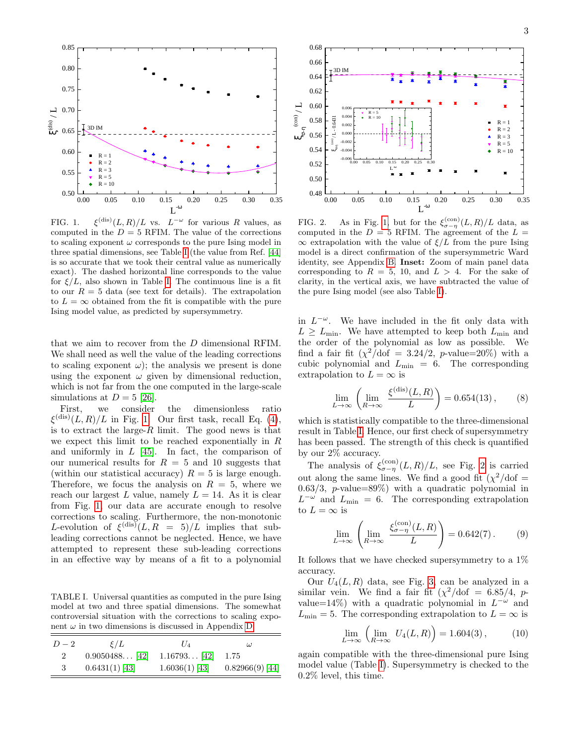

<span id="page-3-1"></span>FIG. 1.  $\binom{(\mathrm{dis})}{L, R}/L$  vs.  $L^{-\omega}$  for various R values, as computed in the  $D = 5$  RFIM. The value of the corrections to scaling exponent  $\omega$  corresponds to the pure Ising model in three spatial dimensions, see Table [I](#page-3-0) (the value from Ref. [\[44\]](#page-8-3) is so accurate that we took their central value as numerically exact). The dashed horizontal line corresponds to the value for  $\xi/L$ , also shown in Table [I.](#page-3-0) The continuous line is a fit to our  $R = 5$  data (see text for details). The extrapolation to  $L = \infty$  obtained from the fit is compatible with the pure Ising model value, as predicted by supersymmetry.

that we aim to recover from the D dimensional RFIM. We shall need as well the value of the leading corrections to scaling exponent  $\omega$ ); the analysis we present is done using the exponent  $\omega$  given by dimensional reduction, which is not far from the one computed in the large-scale simulations at  $D = 5$  [\[26\]](#page-7-19).

First, we consider the dimensionless ratio  $\xi^{(\text{dis})}(L,R)/L$  in Fig. [1.](#page-3-1) Our first task, recall Eq. [\(4\)](#page-2-2), is to extract the large- $R$  limit. The good news is that we expect this limit to be reached exponentially in  $R$ and uniformly in  $L$  [\[45\]](#page-8-4). In fact, the comparison of our numerical results for  $R = 5$  and 10 suggests that (within our statistical accuracy)  $R = 5$  is large enough. Therefore, we focus the analysis on  $R = 5$ , where we reach our largest L value, namely  $L = 14$ . As it is clear from Fig. [1,](#page-3-1) our data are accurate enough to resolve corrections to scaling. Furthermore, the non-monotonic L-evolution of  $\xi^{(\text{dis})}(L, R = 5)/L$  implies that subleading corrections cannot be neglected. Hence, we have attempted to represent these sub-leading corrections in an effective way by means of a fit to a polynomial 3 0.6431(1) [\[43\]](#page-8-6) 1.6036(1) [\[43\]](#page-8-6) 0.82966(9) [\[44\]](#page-8-3) 0. <sup>00</sup> 0. <sup>05</sup> 0.1 <sup>0</sup> 0.1 <sup>5</sup> 0. <sup>20</sup> 0. <sup>25</sup> 0.30 0.3 <sup>5</sup>

<span id="page-3-0"></span>TABLE I. Universal quantities as computed in the pure Ising model at two and three spatial dimensions. The somewhat controversial situation with the corrections to scaling exponent  $\omega$  in two dimensions is discussed in Appendix [D.](#page-6-0)

| $D-2$          | $\mathcal{E}/L$  | $U_A$            | $\omega$          |
|----------------|------------------|------------------|-------------------|
| $\overline{2}$ | $0.9050488$ [42] | $1.16793$ [42]   | 1.75              |
| 3              | $0.6431(1)$ [43] | $1.6036(1)$ [43] | $0.82966(9)$ [44] |



<span id="page-3-2"></span>FIG. 2. As in Fig. [1,](#page-3-1) but for the  $\xi_{\sigma-\eta}^{(\text{con})}(L,R)/L$  data, as computed in the  $D = 5$  RFIM. The agreement of the  $L =$  $\infty$  extrapolation with the value of  $\xi/L$  from the pure Ising model is a direct confirmation of the supersymmetric Ward identity, see Appendix [B.](#page-5-1) Inset: Zoom of main panel data corresponding to  $R = 5$ , 10, and  $L > 4$ . For the sake of clarity, in the vertical axis, we have subtracted the value of the pure Ising model (see also Table [I\)](#page-3-0).

in  $L^{-\omega}$ . We have included in the fit only data with  $L \ge L_{\text{min}}$ . We have attempted to keep both  $L_{\text{min}}$  and the order of the polynomial as low as possible. We find a fair fit  $(\chi^2/\text{dof} = 3.24/2, p\text{-value}=20\%)$  with a cubic polynomial and  $L_{\text{min}} = 6$ . The corresponding extrapolation to  $L = \infty$  is

$$
\lim_{L \to \infty} \left( \lim_{R \to \infty} \frac{\xi^{(\text{dis})}(L, R)}{L} \right) = 0.654(13), \quad (8)
$$

which is statistically compatible to the three-dimensional result in Table [I.](#page-3-0) Hence, our first check of supersymmetry has been passed. The strength of this check is quantified by our 2% accuracy.

The analysis of  $\xi_{\sigma-\eta}^{(\text{con})}(L,R)/L$ , see Fig. [2](#page-3-2) is carried out along the same lines. We find a good fit  $(\chi^2/\text{dof} =$ 0.63/3, p-value=89%) with a quadratic polynomial in  $L^{-\omega}$  and  $L_{\text{min}} = 6$ . The corresponding extrapolation to  $L = \infty$  is

$$
\lim_{L \to \infty} \left( \lim_{R \to \infty} \frac{\xi_{\sigma - \eta}^{(\text{con})}(L, R)}{L} \right) = 0.642(7). \tag{9}
$$

It follows that we have checked supersymmetry to a 1% accuracy.

Our  $U_4(L, R)$  data, see Fig. [3,](#page-4-0) can be analyzed in a similar vein. We find a fair fit  $(\chi^2/\text{dof} = 6.85/4, p$ value=14%) with a quadratic polynomial in  $L^{-\omega}$  and  $L_{\text{min}} = 5$ . The corresponding extrapolation to  $L = \infty$  is

$$
\lim_{L \to \infty} \left( \lim_{R \to \infty} U_4(L, R) \right) = 1.604(3), \quad (10)
$$

again compatible with the three-dimensional pure Ising model value (Table [I\)](#page-3-0). Supersymmetry is checked to the 0.2% level, this time.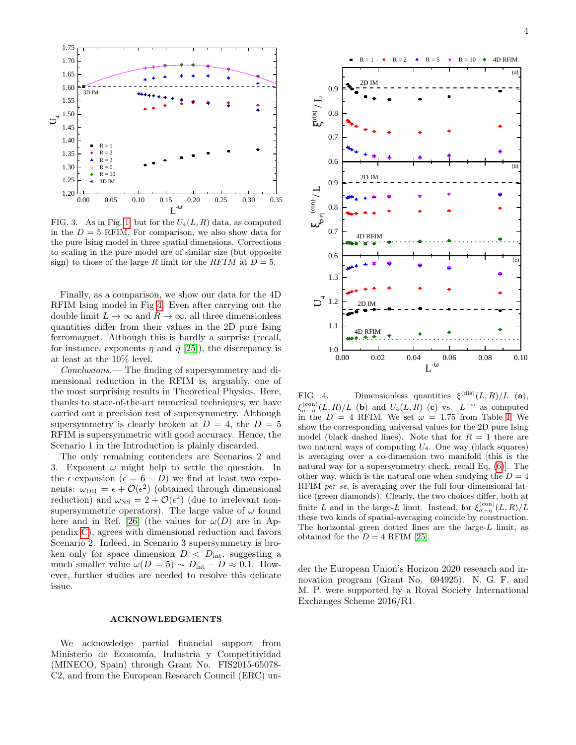

<span id="page-4-0"></span>FIG. 3. As in Fig. [1,](#page-3-1) but for the  $U_4(L, R)$  data, as computed in the  $D = 5$  RFIM. For comparison, we also show data for the pure Ising model in three spatial dimensions. Corrections to scaling in the pure model are of similar size (but opposite sign) to those of the large R limit for the  $RFIM$  at  $D=5$ .

Finally, as a comparison, we show our data for the 4D RFIM Ising model in Fig [4.](#page-4-1) Even after carrying out the double limit  $L \to \infty$  and  $R \to \infty$ , all three dimensionless quantities differ from their values in the 2D pure Ising ferromagnet. Although this is hardly a surprise (recall, for instance, exponents  $\eta$  and  $\overline{\eta}$  [\[25\]](#page-7-18)), the discrepancy is at least at the 10% level.

Conclusions.— The finding of supersymmetry and dimensional reduction in the RFIM is, arguably, one of the most surprising results in Theoretical Physics. Here, thanks to state-of-the-art numerical techniques, we have carried out a precision test of supersymmetry. Although supersymmetry is clearly broken at  $D = 4$ , the  $D = 5$ RFIM is supersymmetric with good accuracy. Hence, the Scenario 1 in the Introduction is plainly discarded.

The only remaining contenders are Scenarios 2 and 3. Exponent  $\omega$  might help to settle the question. In the  $\epsilon$  expansion  $(\epsilon = 6 - D)$  we find at least two exponents:  $\omega_{\text{DR}} = \epsilon + \mathcal{O}(\epsilon^2)$  (obtained through dimensional reduction) and  $\omega_{\text{NS}} = 2 + \mathcal{O}(\epsilon^2)$  (due to irrelevant nonsupersymmetric operators). The large value of  $\omega$  found here and in Ref. [\[26\]](#page-7-19) (the values for  $\omega(D)$  are in Appendix [C\)](#page-6-1), agrees with dimensional reduction and favors Scenario 2. Indeed, in Scenario 3 supersymmetry is broken only for space dimension  $D < D<sub>int</sub>$ , suggesting a much smaller value  $\omega(D = 5) \sim D_{\text{int}} - D \approx 0.1$ . However, further studies are needed to resolve this delicate issue.

### ACKNOWLEDGMENTS

We acknowledge partial financial support from Ministerio de Economía, Industria y Competitividad (MINECO, Spain) through Grant No. FIS2015-65078- C2, and from the European Research Council (ERC) un-



<span id="page-4-1"></span>FIG. 4. Dimensionless quantities  $\xi^{(\text{dis})}(L, R)/L$  (a),  $\xi_{\sigma-\eta}^{(\text{con})}(L,R)/L$  (b) and  $U_4(L,R)$  (c) vs.  $L^{-\omega}$  as computed in the  $D = 4$  RFIM. We set  $\omega = 1.75$  from Table [I.](#page-3-0) We show the corresponding universal values for the 2D pure Ising model (black dashed lines). Note that for  $R = 1$  there are two natural ways of computing  $U_4$ . One way (black squares) is averaging over a co-dimension two manifold [this is the natural way for a supersymmetry check, recall Eq. [\(6\)](#page-2-3)]. The other way, which is the natural one when studying the  $D = 4$ RFIM per se, is averaging over the full four-dimensional lattice (green diamonds). Clearly, the two choices differ, both at finite L and in the large-L limit. Instead, for  $\xi_{\sigma-\eta}^{(\rm con)}(L,R)/L$ these two kinds of spatial-averaging coincide by construction. The horizontal green dotted lines are the large- $L$  limit, as obtained for the  $D = 4$  RFIM [\[25\]](#page-7-18).

der the European Union's Horizon 2020 research and innovation program (Grant No. 694925). N. G. F. and M. P. were supported by a Royal Society International Exchanges Scheme 2016/R1.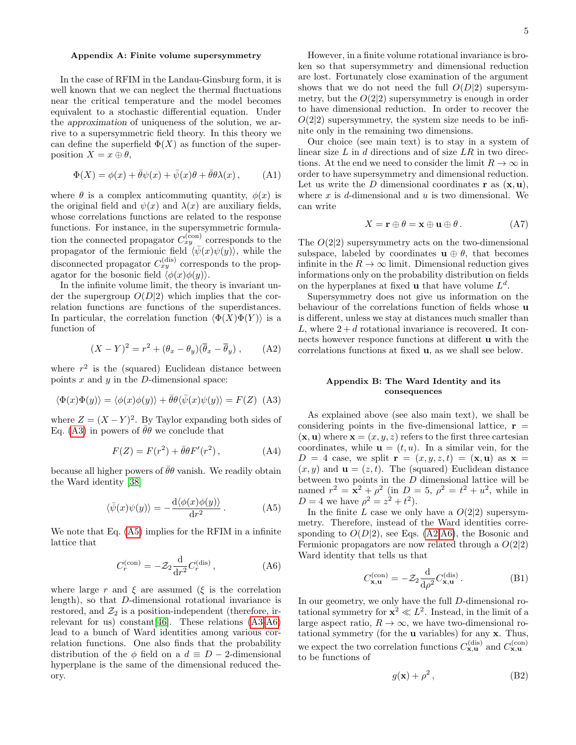#### <span id="page-5-0"></span>Appendix A: Finite volume supersymmetry

In the case of RFIM in the Landau-Ginsburg form, it is well known that we can neglect the thermal fluctuations near the critical temperature and the model becomes equivalent to a stochastic differential equation. Under the approximation of uniqueness of the solution, we arrive to a supersymmetric field theory. In this theory we can define the superfield  $\Phi(X)$  as function of the superposition  $X = x \oplus \theta$ ,

$$
\Phi(X) = \phi(x) + \bar{\theta}\psi(x) + \bar{\psi}(x)\theta + \bar{\theta}\theta\lambda(x), \quad (A1)
$$

where  $\theta$  is a complex anticommuting quantity,  $\phi(x)$  is the original field and  $\psi(x)$  and  $\lambda(x)$  are auxiliary fields, whose correlations functions are related to the response functions. For instance, in the supersymmetric formulation the connected propagator  $C_{xy}^{(\text{con})}$  corresponds to the propagator of the fermionic field  $\langle \bar{\psi}(x)\psi(y)\rangle$ , while the disconnected propagator  $C_{xy}^{(\text{dis})}$  corresponds to the propagator for the bosonic field  $\langle \phi(x)\phi(y)\rangle$ .

In the infinite volume limit, the theory is invariant under the supergroup  $O(D|2)$  which implies that the correlation functions are functions of the superdistances. In particular, the correlation function  $\langle \Phi(X)\Phi(Y) \rangle$  is a function of

<span id="page-5-5"></span>
$$
(X - Y)^2 = r^2 + (\theta_x - \theta_y)(\overline{\theta}_x - \overline{\theta}_y) , \qquad (A2)
$$

where  $r^2$  is the (squared) Euclidean distance between points  $x$  and  $y$  in the  $D$ -dimensional space:

<span id="page-5-2"></span>
$$
\langle \Phi(x)\Phi(y)\rangle = \langle \phi(x)\phi(y)\rangle + \bar{\theta}\theta \langle \bar{\psi}(x)\psi(y)\rangle = F(Z)
$$
 (A3)

where  $Z = (X - Y)^2$ . By Taylor expanding both sides of Eq. [\(A3\)](#page-5-2) in powers of  $\bar{\theta}\theta$  we conclude that

$$
F(Z) = F(r^2) + \bar{\theta}\theta F'(r^2), \qquad (A4)
$$

because all higher powers of  $\bar{\theta}\theta$  vanish. We readily obtain the Ward identity [\[38\]](#page-8-0)

<span id="page-5-3"></span>
$$
\langle \bar{\psi}(x)\psi(y)\rangle = -\frac{\mathrm{d}\langle \phi(x)\phi(y)\rangle}{\mathrm{d}r^2} \,. \tag{A5}
$$

We note that Eq. [\(A5\)](#page-5-3) implies for the RFIM in a infinite lattice that

<span id="page-5-4"></span>
$$
C_r^{\text{(con)}} = -\mathcal{Z}_2 \frac{\mathrm{d}}{\mathrm{d}r^2} C_r^{\text{(dis)}},\tag{A6}
$$

where large r and  $\xi$  are assumed ( $\xi$  is the correlation length), so that D-dimensional rotational invariance is restored, and  $\mathcal{Z}_2$  is a position-independent (therefore, irrelevant for us) constant[\[46\]](#page-8-7). These relations [\(A3-](#page-5-2)[A6\)](#page-5-4) lead to a bunch of Ward identities among various correlation functions. One also finds that the probability distribution of the  $\phi$  field on a  $d \equiv D - 2$ -dimensional hyperplane is the same of the dimensional reduced theory.

However, in a finite volume rotational invariance is broken so that supersymmetry and dimensional reduction are lost. Fortunately close examination of the argument shows that we do not need the full  $O(D|2)$  supersymmetry, but the  $O(2|2)$  supersymmetry is enough in order to have dimensional reduction. In order to recover the  $O(2|2)$  supersymmetry, the system size needs to be infinite only in the remaining two dimensions.

Our choice (see main text) is to stay in a system of linear size  $L$  in  $d$  directions and of size  $LR$  in two directions. At the end we need to consider the limit  $R \to \infty$  in order to have supersymmetry and dimensional reduction. Let us write the D dimensional coordinates  $\bf{r}$  as  $(\bf{x}, \bf{u})$ , where  $x$  is d-dimensional and  $u$  is two dimensional. We can write

$$
X = \mathbf{r} \oplus \theta = \mathbf{x} \oplus \mathbf{u} \oplus \theta. \tag{A7}
$$

The  $O(2|2)$  supersymmetry acts on the two-dimensional subspace, labeled by coordinates  $\mathbf{u} \oplus \theta$ , that becomes infinite in the  $R \to \infty$  limit. Dimensional reduction gives informations only on the probability distribution on fields on the hyperplanes at fixed **u** that have volume  $L^d$ .

Supersymmetry does not give us information on the behaviour of the correlations function of fields whose u is different, unless we stay at distances much smaller than L, where  $2 + d$  rotational invariance is recovered. It connects however responce functions at different u with the correlations functions at fixed u, as we shall see below.

### <span id="page-5-1"></span>Appendix B: The Ward Identity and its consequences

As explained above (see also main text), we shall be considering points in the five-dimensional lattice,  $\mathbf{r} =$  $(\mathbf{x}, \mathbf{u})$  where  $\mathbf{x} = (x, y, z)$  refers to the first three cartesian coordinates, while  $\mathbf{u} = (t, u)$ . In a similar vein, for the  $D = 4$  case, we split  $\mathbf{r} = (x, y, z, t) = (\mathbf{x}, \mathbf{u})$  as  $\mathbf{x} =$  $(x, y)$  and  $\mathbf{u} = (z, t)$ . The (squared) Euclidean distance between two points in the  $D$  dimensional lattice will be named  $r^2 = \mathbf{x}^2 + \rho^2$  (in  $D = 5$ ,  $\rho^2 = t^2 + u^2$ , while in  $D = 4$  we have  $\rho^2 = z^2 + t^2$ .

In the finite L case we only have a  $O(2|2)$  supersymmetry. Therefore, instead of the Ward identities corresponding to  $O(D|2)$ , see Eqs. [\(A2](#page-5-5)[,A6\)](#page-5-4), the Bosonic and Fermionic propagators are now related through a  $O(2|2)$ Ward identity that tells us that

<span id="page-5-6"></span>
$$
C_{\mathbf{x},\mathbf{u}}^{(\text{con})} = -\mathcal{Z}_2 \frac{\mathrm{d}}{\mathrm{d}\rho^2} C_{\mathbf{x},\mathbf{u}}^{(\text{dis})} . \tag{B1}
$$

In our geometry, we only have the full D-dimensional rotational symmetry for  $x^2 \ll L^2$ . Instead, in the limit of a large aspect ratio,  $R \to \infty$ , we have two-dimensional rotational symmetry (for the u variables) for any x. Thus, we expect the two correlation functions  $C_{\mathbf{x},\mathbf{u}}^{(\text{dis})}$  and  $C_{\mathbf{x},\mathbf{u}}^{(\text{con})}$ to be functions of

$$
g(\mathbf{x}) + \rho^2, \tag{B2}
$$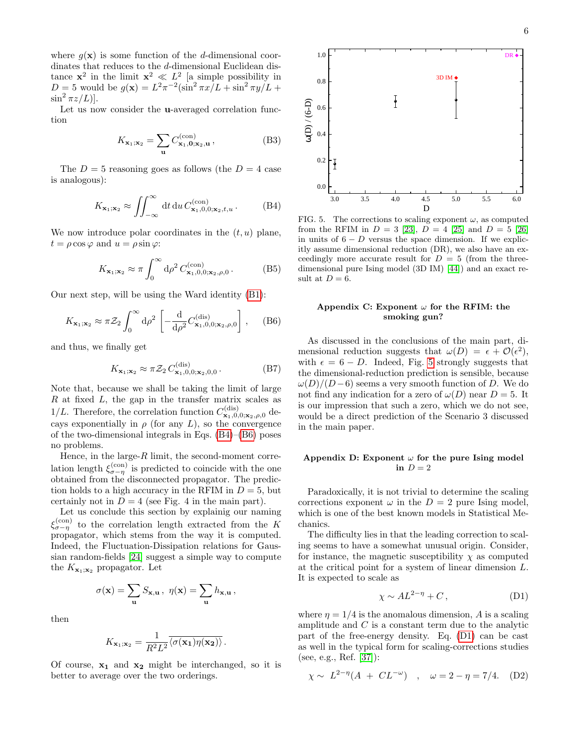where  $g(\mathbf{x})$  is some function of the d-dimensional coordinates that reduces to the *d*-dimensional Euclidean distance  $x^2$  in the limit  $x^2 \ll L^2$  [a simple possibility in  $D=5$  would be  $g(\mathbf{x})=L^2\pi^{-2}(\sin^2 \pi x/L + \sin^2 \pi y/L +$  $\sin^2 \pi z/L$ ].

Let us now consider the u-averaged correlation function

$$
K_{\mathbf{x}_1;\mathbf{x}_2} = \sum_{\mathbf{u}} C_{\mathbf{x}_1,\mathbf{0};\mathbf{x}_2,\mathbf{u}}^{(\text{con})} \,, \tag{B3}
$$

The  $D = 5$  reasoning goes as follows (the  $D = 4$  case is analogous):

<span id="page-6-2"></span>
$$
K_{\mathbf{x}_1;\mathbf{x}_2} \approx \iint_{-\infty}^{\infty} dt \, du \, C_{\mathbf{x}_1,0,0;\mathbf{x}_2,t,u}^{(\text{con})}.
$$
 (B4)

We now introduce polar coordinates in the  $(t, u)$  plane,  $t = \rho \cos \varphi$  and  $u = \rho \sin \varphi$ :

$$
K_{\mathbf{x}_1;\mathbf{x}_2} \approx \pi \int_0^\infty \mathrm{d}\rho^2 \, C_{\mathbf{x}_1,0,0;\mathbf{x}_2,\rho,0}^{(\text{con})} \,. \tag{B5}
$$

Our next step, will be using the Ward identity [\(B1\)](#page-5-6):

<span id="page-6-3"></span>
$$
K_{\mathbf{x}_1;\mathbf{x}_2} \approx \pi \mathcal{Z}_2 \int_0^\infty d\rho^2 \left[ -\frac{d}{d\rho^2} C^{(\text{dis})}_{\mathbf{x}_1,0,0;\mathbf{x}_2,\rho,0} \right],\quad (B6)
$$

and thus, we finally get

$$
K_{\mathbf{x}_1;\mathbf{x}_2} \approx \pi \mathcal{Z}_2 C_{\mathbf{x}_1,0,0;\mathbf{x}_2,0,0}^{\text{(dis)}}.
$$
 (B7)

Note that, because we shall be taking the limit of large  $R$  at fixed  $L$ , the gap in the transfer matrix scales as 1/L. Therefore, the correlation function  $C_{\mathbf{x}_1,0,0;\mathbf{x}_2,\rho,0}^{(\text{dis})}$  decays exponentially in  $\rho$  (for any L), so the convergence of the two-dimensional integrals in Eqs. [\(B4\)](#page-6-2)–[\(B6\)](#page-6-3) poses no problems.

Hence, in the large- $R$  limit, the second-moment correlation length  $\xi_{\sigma-\eta}^{(\text{con})}$  is predicted to coincide with the one obtained from the disconnected propagator. The prediction holds to a high accuracy in the RFIM in  $D = 5$ , but certainly not in  $D = 4$  (see Fig. 4 in the main part).

Let us conclude this section by explainig our naming  $\xi_{\sigma-\eta}^{(\rm con)}$  to the correlation length extracted from the K propagator, which stems from the way it is computed. Indeed, the Fluctuation-Dissipation relations for Gaussian random-fields [\[24\]](#page-7-27) suggest a simple way to compute the  $K_{\mathbf{x}_1;\mathbf{x}_2}$  propagator. Let

$$
\sigma(\mathbf{x}) = \sum_{\mathbf{u}} S_{\mathbf{x},\mathbf{u}}, \ \eta(\mathbf{x}) = \sum_{\mathbf{u}} h_{\mathbf{x},\mathbf{u}},
$$

then

$$
K_{\mathbf{x}_1;\mathbf{x}_2}=\frac{1}{R^2L^2}\overline{\langle \sigma(\mathbf{x_1})\eta(\mathbf{x_2})\rangle}\,.
$$

Of course,  $x_1$  and  $x_2$  might be interchanged, so it is



<span id="page-6-4"></span>FIG. 5. The corrections to scaling exponent  $\omega$ , as computed from the RFIM in  $D = 3$  [\[23\]](#page-7-17),  $D = 4$  [\[25\]](#page-7-18) and  $D = 5$  [\[26\]](#page-7-19) in units of  $6 - D$  versus the space dimension. If we explicitly assume dimensional reduction (DR), we also have an exceedingly more accurate result for  $D = 5$  (from the threedimensional pure Ising model (3D IM) [\[44\]](#page-8-3)) and an exact result at  $D = 6$ .

#### <span id="page-6-1"></span>Appendix C: Exponent  $\omega$  for the RFIM: the smoking gun?

Ex. so,  $\approx \int_{-\infty}^{\infty} dx \, \mathrm{d}x \, \mathrm{d}x \, \mathrm{d}x$ <br>
We meet interded to average over the two orderings. So the two order to average over the two order to average over the two orders of  $\mathbb{R}$  and the FRM at D = 8 (i.e., As discussed in the conclusions of the main part, dimensional reduction suggests that  $\omega(D) = \epsilon + \mathcal{O}(\epsilon^2)$ , with  $\epsilon = 6 - D$ . Indeed, Fig. [5](#page-6-4) strongly suggests that the dimensional-reduction prediction is sensible, because  $\omega(D)/(D-6)$  seems a very smooth function of D. We do not find any indication for a zero of  $\omega(D)$  near  $D = 5$ . It is our impression that such a zero, which we do not see, would be a direct prediction of the Scenario 3 discussed in the main paper.

#### <span id="page-6-0"></span>Appendix D: Exponent  $\omega$  for the pure Ising model in  $D=2$

Paradoxically, it is not trivial to determine the scaling corrections exponent  $\omega$  in the  $D = 2$  pure Ising model, which is one of the best known models in Statistical Mechanics.

The difficulty lies in that the leading correction to scaling seems to have a somewhat unusual origin. Consider, for instance, the magnetic susceptibility  $\chi$  as computed at the critical point for a system of linear dimension L. It is expected to scale as

<span id="page-6-5"></span>
$$
\chi \sim A L^{2-\eta} + C, \tag{D1}
$$

where  $\eta = 1/4$  is the anomalous dimension, A is a scaling amplitude and  $C$  is a constant term due to the analytic part of the free-energy density. Eq. [\(D1\)](#page-6-5) can be cast as well in the typical form for scaling-corrections studies (see, e.g., Ref. [\[37\]](#page-7-26)):

<span id="page-6-6"></span>
$$
\chi \sim L^{2-\eta} (A + CL^{-\omega})
$$
,  $\omega = 2 - \eta = 7/4$ . (D2)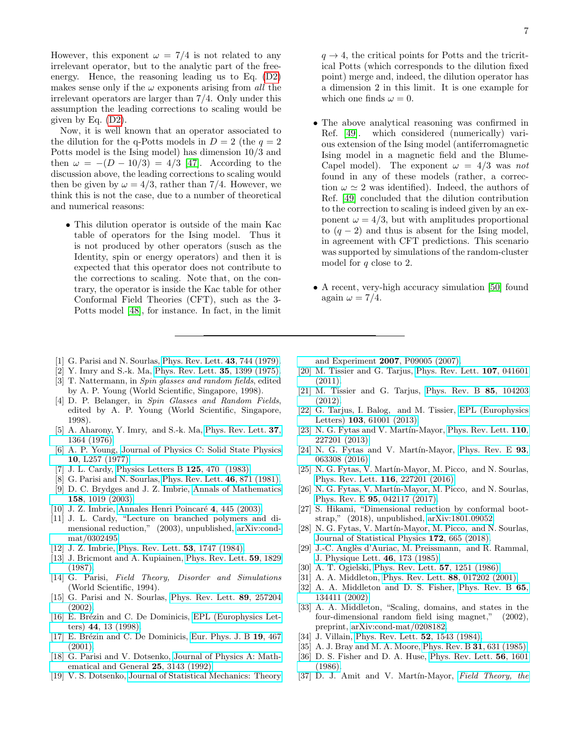However, this exponent  $\omega = 7/4$  is not related to any irrelevant operator, but to the analytic part of the freeenergy. Hence, the reasoning leading us to Eq. [\(D2\)](#page-6-6) makes sense only if the  $\omega$  exponents arising from all the irrelevant operators are larger than 7/4. Only under this assumption the leading corrections to scaling would be given by Eq. [\(D2\)](#page-6-6).

Now, it is well known that an operator associated to the dilution for the q-Potts models in  $D = 2$  (the  $q = 2$ ) Potts model is the Ising model) has dimension 10/3 and then  $\omega = -(D - 10/3) = 4/3$  [\[47\]](#page-8-8). According to the discussion above, the leading corrections to scaling would then be given by  $\omega = 4/3$ , rather than 7/4. However, we think this is not the case, due to a number of theoretical and numerical reasons:

- This dilution operator is outside of the main Kac table of operators for the Ising model. Thus it is not produced by other operators (susch as the Identity, spin or energy operators) and then it is expected that this operator does not contribute to the corrections to scaling. Note that, on the contrary, the operator is inside the Kac table for other Conformal Field Theories (CFT), such as the 3- Potts model [\[48\]](#page-8-9), for instance. In fact, in the limit
- <span id="page-7-0"></span>[1] G. Parisi and N. Sourlas, [Phys. Rev. Lett.](http://dx.doi.org/10.1103/PhysRevLett.43.744) 43, 744 (1979).
- <span id="page-7-1"></span>[2] Y. Imry and S.-k. Ma, [Phys. Rev. Lett.](http://dx.doi.org/10.1103/PhysRevLett.35.1399) 35, 1399 (1975).
- [3] T. Nattermann, in Spin glasses and random fields, edited by A. P. Young (World Scientific, Singapore, 1998).
- <span id="page-7-2"></span>[4] D. P. Belanger, in Spin Glasses and Random Fields, edited by A. P. Young (World Scientific, Singapore, 1998).
- <span id="page-7-3"></span>[5] A. Aharony, Y. Imry, and S.-k. Ma, [Phys. Rev. Lett.](http://dx.doi.org/10.1103/PhysRevLett.37.1364) **37**, [1364 \(1976\).](http://dx.doi.org/10.1103/PhysRevLett.37.1364)
- <span id="page-7-4"></span>[6] A. P. Young, [Journal of Physics C: Solid State Physics](http://dx.doi.org/10.1088/0022-3719/10/9/007) 10[, L257 \(1977\).](http://dx.doi.org/10.1088/0022-3719/10/9/007)
- <span id="page-7-5"></span>[7] J. L. Cardy, [Physics Letters B](http://dx.doi.org/https://doi.org/10.1016/0370-2693(83)91328-X) 125, 470 (1983).
- <span id="page-7-6"></span>[8] G. Parisi and N. Sourlas, [Phys. Rev. Lett.](http://dx.doi.org/10.1103/PhysRevLett.46.871) 46, 871 (1981).
- <span id="page-7-7"></span>[9] D. C. Brydges and J. Z. Imbrie, [Annals of Mathematics](http://dx.doi.org/10.4007/annals.2003.158.1019) 158[, 1019 \(2003\).](http://dx.doi.org/10.4007/annals.2003.158.1019)
- [10] J. Z. Imbrie, Annales Henri Poincaré 4, 445 (2003).
- <span id="page-7-8"></span>[11] J. L. Cardy, "Lecture on branched polymers and dimensional reduction," (2003), unpublished, [arXiv:cond](http://arxiv.org/abs/arXiv:cond-mat/0302495)[mat/0302495.](http://arxiv.org/abs/arXiv:cond-mat/0302495)
- <span id="page-7-9"></span>[12] J. Z. Imbrie, [Phys. Rev. Lett.](http://dx.doi.org/10.1103/PhysRevLett.53.1747) 53, 1747 (1984).
- <span id="page-7-10"></span>[13] J. Bricmont and A. Kupiainen, [Phys. Rev. Lett.](http://dx.doi.org/10.1103/PhysRevLett.59.1829) 59, 1829 [\(1987\).](http://dx.doi.org/10.1103/PhysRevLett.59.1829)
- <span id="page-7-11"></span>[14] G. Parisi, Field Theory, Disorder and Simulations (World Scientific, 1994).
- [15] G. Parisi and N. Sourlas, [Phys. Rev. Lett.](http://dx.doi.org/10.1103/PhysRevLett.89.257204) 89, 257204 [\(2002\).](http://dx.doi.org/10.1103/PhysRevLett.89.257204)
- [16] E. Brézin and C. De Dominicis, [EPL \(Europhysics Let](http://dx.doi.org/10.1209/epl/i1998-00428-0)ters) 44[, 13 \(1998\).](http://dx.doi.org/10.1209/epl/i1998-00428-0)
- <span id="page-7-12"></span>[17] E. Brézin and C. De Dominicis, [Eur. Phys. J. B](http://dx.doi.org/10.1007/s100510170323)  $19, 467$  $(2001)$ .
- <span id="page-7-13"></span>[18] G. Parisi and V. Dotsenko, [Journal of Physics A: Math](http://dx.doi.org/10.1088/0305-4470/25/11/022)[ematical and General](http://dx.doi.org/10.1088/0305-4470/25/11/022) 25, 3143 (1992).
- <span id="page-7-14"></span>[19] V. S. Dotsenko, [Journal of Statistical Mechanics: Theory](http://dx.doi.org/10.1088/1742-5468/2007/09/P09005)

 $q \rightarrow 4$ , the critical points for Potts and the tricritical Potts (which corresponds to the dilution fixed point) merge and, indeed, the dilution operator has a dimension 2 in this limit. It is one example for which one finds  $\omega = 0$ .

- The above analytical reasoning was confirmed in Ref. [\[49\]](#page-8-10). which considered (numerically) various extension of the Ising model (antiferromagnetic Ising model in a magnetic field and the Blume-Capel model). The exponent  $\omega = 4/3$  was not found in any of these models (rather, a correction  $\omega \simeq 2$  was identified). Indeed, the authors of Ref. [\[49\]](#page-8-10) concluded that the dilution contribution to the correction to scaling is indeed given by an exponent  $\omega = 4/3$ , but with amplitudes proportional to  $(q-2)$  and thus is absent for the Ising model, in agreement with CFT predictions. This scenario was supported by simulations of the random-cluster model for q close to 2.
- A recent, very-high accuracy simulation [\[50\]](#page-8-11) found again  $\omega = 7/4$ .

[and Experiment](http://dx.doi.org/10.1088/1742-5468/2007/09/P09005) 2007, P09005 (2007).

- <span id="page-7-15"></span>[20] M. Tissier and G. Tarjus, [Phys. Rev. Lett.](http://dx.doi.org/10.1103/PhysRevLett.107.041601) 107, 041601 [\(2011\).](http://dx.doi.org/10.1103/PhysRevLett.107.041601)
- [21] M. Tissier and G. Tarjus, [Phys. Rev. B](http://dx.doi.org/10.1103/PhysRevB.85.104203) 85, 104203 [\(2012\).](http://dx.doi.org/10.1103/PhysRevB.85.104203)
- <span id="page-7-16"></span>[22] G. Tarjus, I. Balog, and M. Tissier, [EPL \(Europhysics](http://stacks.iop.org/0295-5075/103/i=6/a=61001) Letters) 103[, 61001 \(2013\).](http://stacks.iop.org/0295-5075/103/i=6/a=61001)
- <span id="page-7-17"></span>[23] N. G. Fytas and V. Martín-Mayor, [Phys. Rev. Lett.](http://dx.doi.org/10.1103/PhysRevLett.110.227201) 110, [227201 \(2013\).](http://dx.doi.org/10.1103/PhysRevLett.110.227201)
- <span id="page-7-27"></span>[24] N. G. Fytas and V. Martín-Mayor, [Phys. Rev. E](http://dx.doi.org/10.1103/PhysRevE.93.063308) 93, [063308 \(2016\).](http://dx.doi.org/10.1103/PhysRevE.93.063308)
- <span id="page-7-18"></span>[25] N. G. Fytas, V. Martín-Mayor, M. Picco, and N. Sourlas, [Phys. Rev. Lett.](http://dx.doi.org/10.1103/PhysRevLett.116.227201) 116, 227201 (2016).
- <span id="page-7-19"></span>[26] N. G. Fytas, V. Martín-Mayor, M. Picco, and N. Sourlas, Phys. Rev. E 95[, 042117 \(2017\).](http://dx.doi.org/10.1103/PhysRevE.95.042117)
- <span id="page-7-20"></span>[27] S. Hikami, "Dimensional reduction by conformal bootstrap," (2018), unpublished, [arXiv:1801.09052.](http://arxiv.org/abs/arXiv:1801.09052)
- <span id="page-7-21"></span>[28] N. G. Fytas, V. Martín-Mayor, M. Picco, and N. Sourlas, [Journal of Statistical Physics](http://dx.doi.org/10.1007/s10955-018-1955-7) 172, 665 (2018).
- <span id="page-7-22"></span>[29] J.-C. Anglès d'Auriac, M. Preissmann, and R. Rammal, [J. Physique Lett.](http://dx.doi.org/10.1051/jphyslet:01985004605017300) 46, 173 (1985).
- [30] A. T. Ogielski, [Phys. Rev. Lett.](http://dx.doi.org/10.1103/PhysRevLett.57.1251) 57, 1251 (1986).
- [31] A. A. Middleton, [Phys. Rev. Lett.](http://dx.doi.org/10.1103/PhysRevLett.88.017202) **88**, 017202 (2001).
- [32] A. A. Middleton and D. S. Fisher, [Phys. Rev. B](http://dx.doi.org/10.1103/PhysRevB.65.134411) 65, [134411 \(2002\).](http://dx.doi.org/10.1103/PhysRevB.65.134411)
- <span id="page-7-23"></span>[33] A. A. Middleton, "Scaling, domains, and states in the four-dimensional random field ising magnet," (2002), preprint, [arXiv:cond-mat/0208182.](http://arxiv.org/abs/arXiv:cond-mat/0208182)
- <span id="page-7-24"></span>[34] J. Villain, [Phys. Rev. Lett.](http://dx.doi.org/10.1103/PhysRevLett.52.1543) **52**, 1543 (1984).
- [35] A. J. Bray and M. A. Moore, [Phys. Rev. B](http://dx.doi.org/10.1103/PhysRevB.31.631) **31**, 631 (1985).
- <span id="page-7-25"></span>[36] D. S. Fisher and D. A. Huse, [Phys. Rev. Lett.](http://dx.doi.org/10.1103/PhysRevLett.56.1601) 56, 1601 [\(1986\).](http://dx.doi.org/10.1103/PhysRevLett.56.1601)
- <span id="page-7-26"></span>[37] D. J. Amit and V. Martín-Mayor, [Field Theory, the](http://dx.doi.org/10.1142/9789812775313_bmatter)